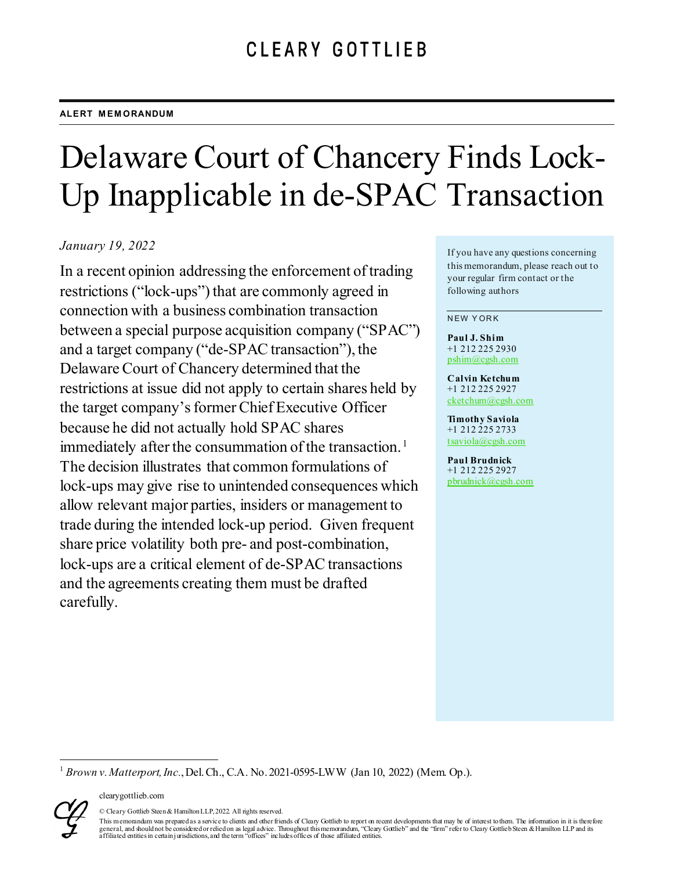# Delaware Court of Chancery Finds Lock-Up Inapplicable in de-SPAC Transaction

### *January 19, 2022*

In a recent opinion addressing the enforcement of trading restrictions ("lock-ups") that are commonly agreed in connection with a business combination transaction between a special purpose acquisition company ("SPAC") and a target company ("de-SPAC transaction"), the Delaware Court of Chancery determined that the restrictions at issue did not apply to certain shares held by the target company's former Chief Executive Officer because he did not actually hold SPAC shares immediately after the consummation of the transaction.<sup>[1](#page-0-0)</sup> The decision illustrates that common formulations of lock-ups may give rise to unintended consequences which allow relevant major parties, insiders or management to trade during the intended lock-up period. Given frequent share price volatility both pre- and post-combination, lock-ups are a critical element of de-SPAC transactions and the agreements creating them must be drafted carefully.

If you have any questions concerning this memorandum, please reach out to your regular firm contact or the following authors

NEW YORK

**Paul J. Shim** +1 212 225 2930 [pshim@cgsh.com](mailto:pshim@cgsh.com)

**Calvin Ketchum** +1 212 225 2927 [cketchum@cgsh.com](mailto:cketchum@cgsh.com)

**Timothy Saviola** +1 212 225 2733 [tsaviola@cgsh.com](mailto:tsaviola@cgsh.com)

**Paul Brudnick** +1 212 225 2927 [pbrudnick@cgsh.com](mailto:pbrudnick@cgsh.com)

<span id="page-0-0"></span><sup>1</sup> *Brown v. Matterport, Inc.*, Del. Ch., C.A. No. 2021-0595-LWW (Jan 10, 2022) (Mem. Op.).



© Cleary Gottlieb Steen & Hamilton LLP, 2022. All rights reserved.

This memorandum was prepared as a service to clients and other friends of Cleary Gottlieb to report on recent developments that may be of interest to them. The information in it is therefore general, and should not be considered or relied on as legal advice. Throughout this memorandum, "Cleary Gottlieb" and the "firm" refer to Cleary Gottlieb Steen & Hamilton LLP and its<br>affiliated entities in certain jurisdic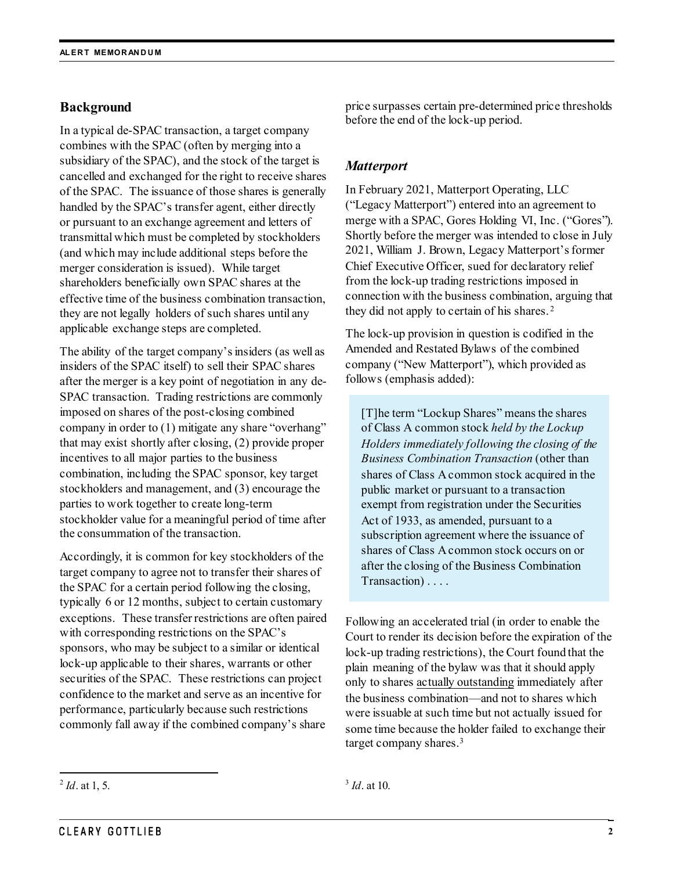### **Background**

In a typical de-SPAC transaction, a target company combines with the SPAC (often by merging into a subsidiary of the SPAC), and the stock of the target is cancelled and exchanged for the right to receive shares of the SPAC. The issuance of those shares is generally handled by the SPAC's transfer agent, either directly or pursuant to an exchange agreement and letters of transmittal which must be completed by stockholders (and which may include additional steps before the merger consideration is issued). While target shareholders beneficially own SPAC shares at the effective time of the business combination transaction, they are not legally holders of such shares until any applicable exchange steps are completed.

The ability of the target company's insiders (as well as insiders of the SPAC itself) to sell their SPAC shares after the merger is a key point of negotiation in any de-SPAC transaction. Trading restrictions are commonly imposed on shares of the post-closing combined company in order to (1) mitigate any share "overhang" that may exist shortly after closing, (2) provide proper incentives to all major parties to the business combination, including the SPAC sponsor, key target stockholders and management, and (3) encourage the parties to work together to create long-term stockholder value for a meaningful period of time after the consummation of the transaction.

Accordingly, it is common for key stockholders of the target company to agree not to transfer their shares of the SPAC for a certain period following the closing, typically 6 or 12 months, subject to certain customary exceptions. These transfer restrictions are often paired with corresponding restrictions on the SPAC's sponsors, who may be subject to a similar or identical lock-up applicable to their shares, warrants or other securities of the SPAC. These restrictions can project confidence to the market and serve as an incentive for performance, particularly because such restrictions commonly fall away if the combined company's share

price surpasses certain pre-determined price thresholds before the end of the lock-up period.

## *Matterport*

In February 2021, Matterport Operating, LLC ("Legacy Matterport") entered into an agreement to merge with a SPAC, Gores Holding VI, Inc. ("Gores"). Shortly before the merger was intended to close in July 2021, William J. Brown, Legacy Matterport's former Chief Executive Officer, sued for declaratory relief from the lock-up trading restrictions imposed in connection with the business combination, arguing that they did not apply to certain of his shares. [2](#page-1-0)

The lock-up provision in question is codified in the Amended and Restated Bylaws of the combined company ("New Matterport"), which provided as follows (emphasis added):

[T]he term "Lockup Shares" means the shares of Class A common stock *held by the Lockup Holders immediately following the closing of the Business Combination Transaction* (other than shares of Class A common stock acquired in the public market or pursuant to a transaction exempt from registration under the Securities Act of 1933, as amended, pursuant to a subscription agreement where the issuance of shares of Class A common stock occurs on or after the closing of the Business Combination Transaction) . . . .

Following an accelerated trial (in order to enable the Court to render its decision before the expiration of the lock-up trading restrictions), the Court found that the plain meaning of the bylaw was that it should apply only to shares actually outstanding immediately after the business combination—and not to shares which were issuable at such time but not actually issued for some time because the holder failed to exchange their target company shares. [3](#page-1-0)

<span id="page-1-0"></span> <sup>2</sup> *Id*. at 1, 5.